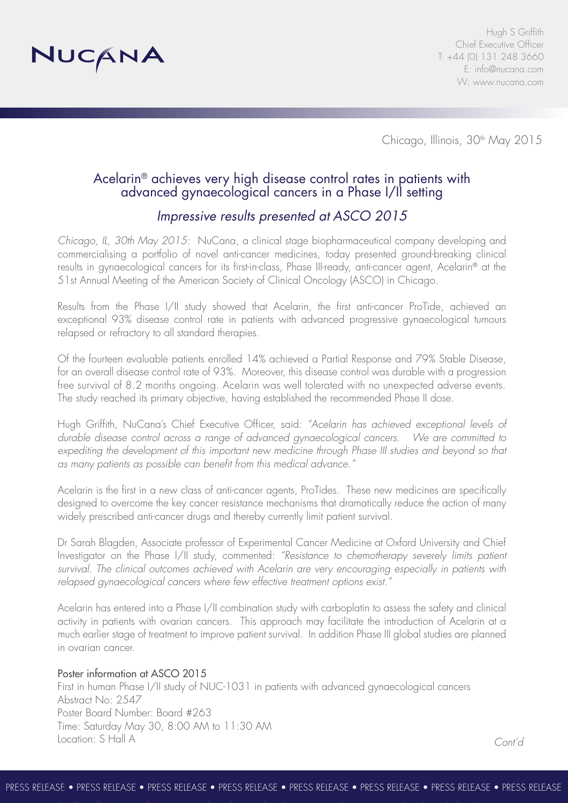

Chicago, Illinois, 30<sup>th</sup> May 2015

## Acelarin® achieves very high disease control rates in patients with advanced gynaecological cancers in a Phase I/II setting

# *Impressive results presented at ASCO 2015*

*Chicago, IL, 30th May 2015:* NuCana, a clinical stage biopharmaceutical company developing and commercialising a portfolio of novel anti-cancer medicines, today presented ground-breaking clinical results in gynaecological cancers for its first-in-class, Phase III-ready, anti-cancer agent, Acelarin® at the 51st Annual Meeting of the American Society of Clinical Oncology (ASCO) in Chicago.

Results from the Phase I/II study showed that Acelarin, the first anti-cancer ProTide, achieved an exceptional 93% disease control rate in patients with advanced progressive gynaecological tumours relapsed or refractory to all standard therapies*.*

Of the fourteen evaluable patients enrolled 14% achieved a Partial Response and 79% Stable Disease, for an overall disease control rate of 93%. Moreover, this disease control was durable with a progression free survival of 8.2 months ongoing. Acelarin was well tolerated with no unexpected adverse events. The study reached its primary objective, having established the recommended Phase II dose*.*

Hugh Griffith, NuCana's Chief Executive Officer, said: *"Acelarin has achieved exceptional levels of durable disease control across a range of advanced gynaecological cancers. We are committed to*  expediting the development of this important new medicine through Phase III studies and beyond so that *as many patients as possible can benefit from this medical advance."*

Acelarin is the first in a new class of anti-cancer agents, ProTides. These new medicines are specifically designed to overcome the key cancer resistance mechanisms that dramatically reduce the action of many widely prescribed anti-cancer drugs and thereby currently limit patient survival.

Dr Sarah Blagden, Associate professor of Experimental Cancer Medicine at Oxford University and Chief Investigator on the Phase I/II study, commented: *"Resistance to chemotherapy severely limits patient survival. The clinical outcomes achieved with Acelarin are very encouraging especially in patients with relapsed gynaecological cancers where few effective treatment options exist."* 

Acelarin has entered into a Phase I/II combination study with carboplatin to assess the safety and clinical activity in patients with ovarian cancers. This approach may facilitate the introduction of Acelarin at a much earlier stage of treatment to improve patient survival. In addition Phase III global studies are planned in ovarian cancer.

## Poster information at ASCO 2015

First in human Phase I/II study of NUC-1031 in patients with advanced gynaecological cancers Abstract No: 2547 Poster Board Number: Board #263 Time: Saturday May 30, 8:00 AM to 11:30 AM Location: S Hall A

*Cont'd*